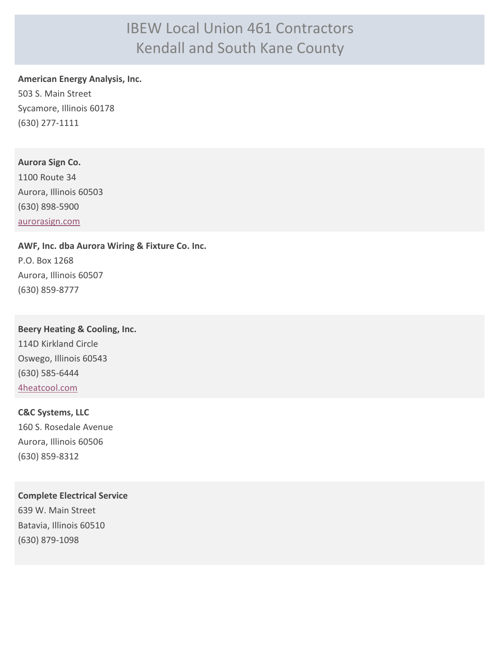# IBEW Local Union 461 Contractors Kendall and South Kane County

#### **American Energy Analysis, Inc.**

503 S. Main Street Sycamore, Illinois 60178 (630) 277-1111

### **Aurora Sign Co.**

1100 Route 34 Aurora, Illinois 60503 (630) 898-5900 [aurorasign.com](http://aurorasign.com)

### **AWF, Inc. dba Aurora Wiring & Fixture Co. Inc.** P.O. Box 1268

Aurora, Illinois 60507 (630) 859-8777

**Beery Heating & Cooling, Inc.** 114D Kirkland Circle Oswego, Illinois 60543 (630) 585-6444 [4heatcool.com](http://4heatcool.com)

## **C&C Systems, LLC** 160 S. Rosedale Avenue Aurora, Illinois 60506 (630) 859-8312

**Complete Electrical Service** 639 W. Main Street Batavia, Illinois 60510 (630) 879-1098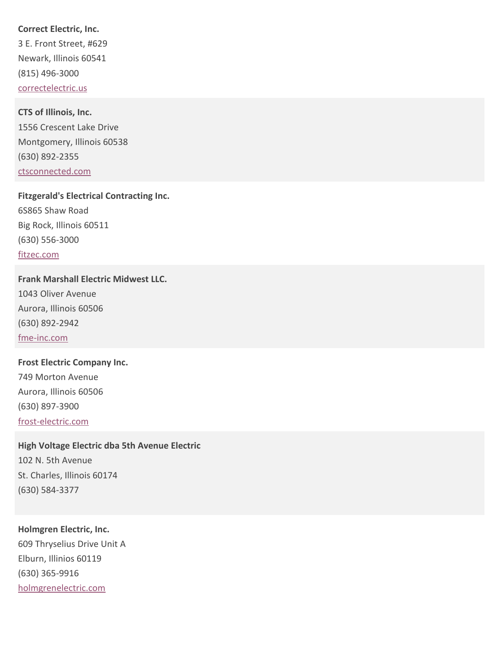**Correct Electric, Inc.**

3 E. Front Street, #629 Newark, Illinois 60541 (815) 496-3000 [correctelectric.us](http://correctelectric.us)

**CTS of Illinois, Inc.** 1556 Crescent Lake Drive Montgomery, Illinois 60538 (630) 892-2355 [ctsconnected.com](http://ctsconnected.com)

**Fitzgerald's Electrical Contracting Inc.** 6S865 Shaw Road Big Rock, Illinois 60511 (630) 556-3000 [fitzec.com](http://fitzec.com)

**Frank Marshall Electric Midwest LLC.** 1043 Oliver Avenue Aurora, Illinois 60506 (630) 892-2942 [fme-inc.com](http://fme-inc.com)

**Frost Electric Company Inc.** 749 Morton Avenue Aurora, Illinois 60506 (630) 897-3900 [frost-electric.com](http://frost-electric.com)

**High Voltage Electric dba 5th Avenue Electric**

102 N. 5th Avenue St. Charles, Illinois 60174 (630) 584-3377

**Holmgren Electric, Inc.** 609 Thryselius Drive Unit A Elburn, Illinios 60119 (630) 365-9916 [holmgrenelectric.com](http://holmgrenelectric.com)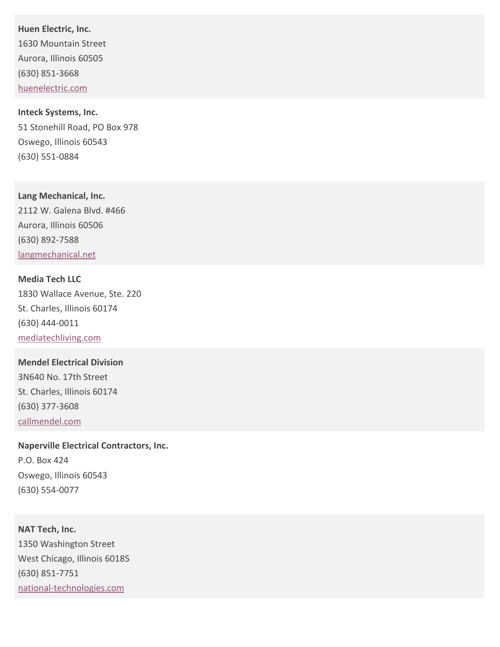**Huen Electric, Inc.** 1630 Mountain Street Aurora, Illinois 60505 (630) 851-3668 [huenelectric.com](http://huenelectric.com)

**Inteck Systems, Inc.** 51 Stonehill Road, PO Box 978 Oswego, Illinois 60543 (630) 551-0884

**Lang Mechanical, Inc.** 2112 W. Galena Blvd. #466 Aurora, Illinois 60506 (630) 892-7588 [langmechanical.net](http://langmechanical.net)

**Media Tech LLC** 1830 Wallace Avenue, Ste. 220 St. Charles, Illinois 60174 (630) 444-0011 [mediatechliving.com](http://mediatechliving.com)

**Mendel Electrical Division** 3N640 No. 17th Street St. Charles, Illinois 60174 (630) 377-3608 [callmendel.com](http://callmendel.com)

**Naperville Electrical Contractors, Inc.** P.O. Box 424 Oswego, Illinois 60543 (630) 554-0077

**NAT Tech, Inc.** 1350 Washington Street West Chicago, Illinois 60185 (630) 851-7751 [national-technologies.com](http://national-technologies.com)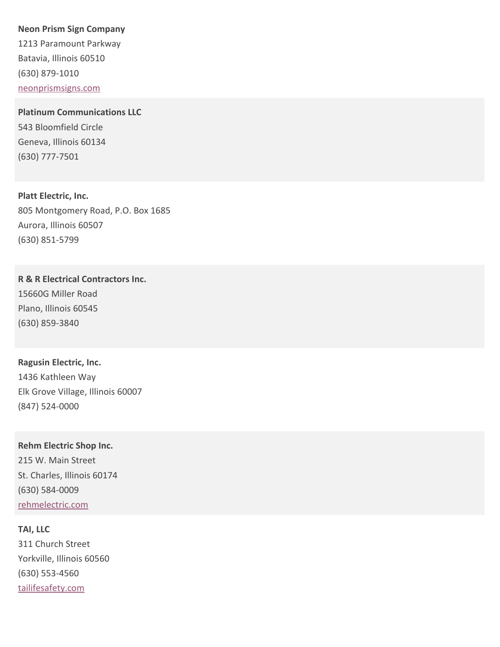#### **Neon Prism Sign Company**

1213 Paramount Parkway Batavia, Illinois 60510 (630) 879-1010 [neonprismsigns.com](http://neonprismsigns.com)

**Platinum Communications LLC** 543 Bloomfield Circle Geneva, Illinois 60134 (630) 777-7501

**Platt Electric, Inc.** 805 Montgomery Road, P.O. Box 1685 Aurora, Illinois 60507 (630) 851-5799

**R & R Electrical Contractors Inc.** 15660G Miller Road Plano, Illinois 60545 (630) 859-3840

**Ragusin Electric, Inc.** 1436 Kathleen Way Elk Grove Village, Illinois 60007 (847) 524-0000

**Rehm Electric Shop Inc.** 215 W. Main Street St. Charles, Illinois 60174 (630) 584-0009 [rehmelectric.com](http://rehmelectric.com)

**TAI, LLC** 311 Church Street Yorkville, Illinois 60560 (630) 553-4560 [tailifesafety.com](http://tailifesafety.com)